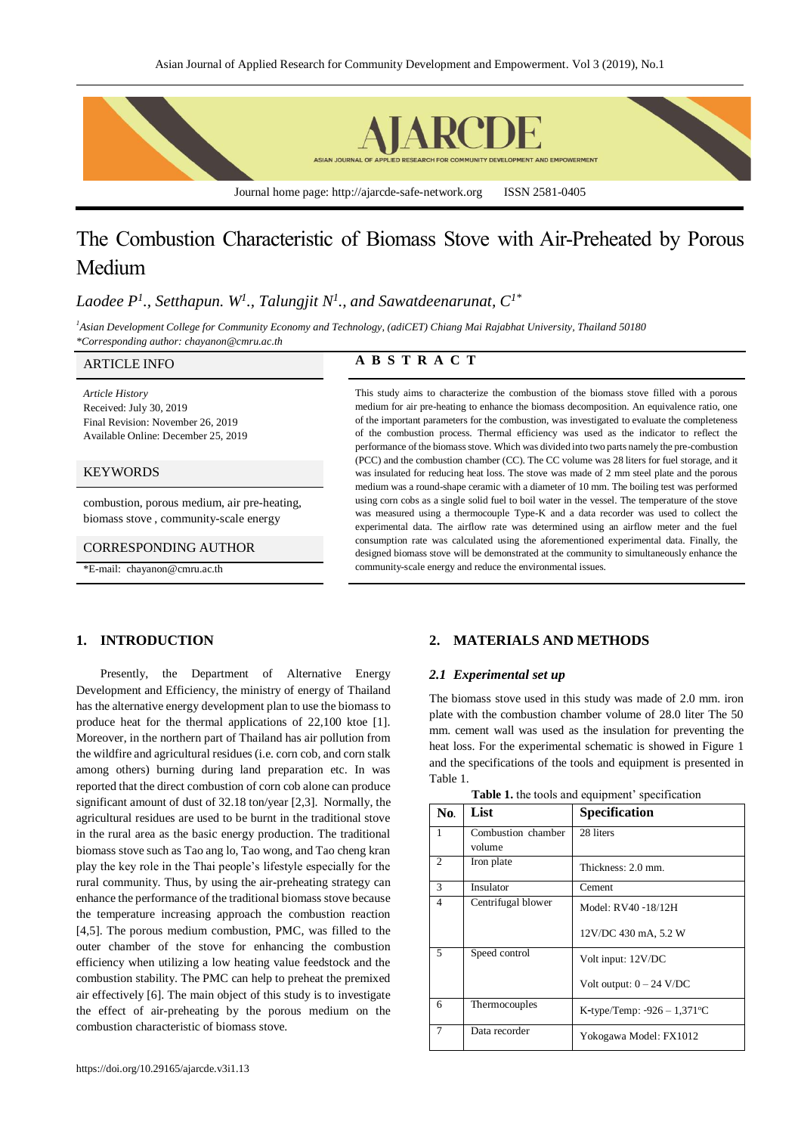

# The Combustion Characteristic of Biomass Stove with Air-Preheated by Porous Medium

# *Laodee P<sup>1</sup> ., Setthapun. W<sup>1</sup> ., Talungjit N<sup>1</sup> ., and Sawatdeenarunat, C1\**

*<sup>1</sup>Asian Development College for Community Economy and Technology, (adiCET) Chiang Mai Rajabhat University, Thailand 50180 \*Corresponding author: chayanon@cmru.ac.th*

*Article History* Received: July 30, 2019 Final Revision: November 26, 2019 Available Online: December 25, 2019

#### **KEYWORDS**

combustion, porous medium, air pre-heating, biomass stove , community-scale energy

#### CORRESPONDING AUTHOR

\*E-mail: chayanon@cmru.ac.th

# ARTICLE INFO **A B S T R A C T**

This study aims to characterize the combustion of the biomass stove filled with a porous medium for air pre-heating to enhance the biomass decomposition. An equivalence ratio, one of the important parameters for the combustion, was investigated to evaluate the completeness of the combustion process. Thermal efficiency was used as the indicator to reflect the performance of the biomass stove. Which was divided into two parts namely the pre-combustion (PCC) and the combustion chamber (CC). The CC volume was 28 liters for fuel storage, and it was insulated for reducing heat loss. The stove was made of 2 mm steel plate and the porous medium was a round-shape ceramic with a diameter of 10 mm. The boiling test was performed using corn cobs as a single solid fuel to boil water in the vessel. The temperature of the stove was measured using a thermocouple Type-K and a data recorder was used to collect the experimental data. The airflow rate was determined using an airflow meter and the fuel consumption rate was calculated using the aforementioned experimental data. Finally, the designed biomass stove will be demonstrated at the community to simultaneously enhance the community-scale energy and reduce the environmental issues.

# **1. INTRODUCTION**

Presently, the Department of Alternative Energy Development and Efficiency, the ministry of energy of Thailand has the alternative energy development plan to use the biomass to produce heat for the thermal applications of 22,100 ktoe [1]. Moreover, in the northern part of Thailand has air pollution from the wildfire and agricultural residues (i.e. corn cob, and corn stalk among others) burning during land preparation etc. In was reported that the direct combustion of corn cob alone can produce significant amount of dust of 32.18 ton/year [2,3]. Normally, the agricultural residues are used to be burnt in the traditional stove in the rural area as the basic energy production. The traditional biomass stove such as Tao ang lo, Tao wong, and Tao cheng kran play the key role in the Thai people's lifestyle especially for the rural community. Thus, by using the air-preheating strategy can enhance the performance of the traditional biomass stove because the temperature increasing approach the combustion reaction [4,5]. The porous medium combustion, PMC, was filled to the outer chamber of the stove for enhancing the combustion efficiency when utilizing a low heating value feedstock and the combustion stability. The PMC can help to preheat the premixed air effectively [6]. The main object of this study is to investigate the effect of air-preheating by the porous medium on the combustion characteristic of biomass stove.

## **2. MATERIALS AND METHODS**

#### *2.1 Experimental set up*

The biomass stove used in this study was made of 2.0 mm. iron plate with the combustion chamber volume of 28.0 liter The 50 mm. cement wall was used as the insulation for preventing the heat loss. For the experimental schematic is showed in Figure 1 and the specifications of the tools and equipment is presented in Table 1.

| No.            | List               | <b>Specification</b>           |  |
|----------------|--------------------|--------------------------------|--|
| 1              | Combustion chamber | 28 liters                      |  |
|                | volume             |                                |  |
| $\overline{c}$ | Iron plate         | Thickness: 2.0 mm.             |  |
| 3              | Insulator          | Cement                         |  |
| $\overline{4}$ | Centrifugal blower | Model: RV40 -18/12H            |  |
|                |                    | 12V/DC 430 mA, 5.2 W           |  |
| 5              | Speed control      | Volt input: 12V/DC             |  |
|                |                    | Volt output: $0 - 24$ V/DC     |  |
| 6              | Thermocouples      | K-type/Temp: $-926 - 1,371$ °C |  |
| 7              | Data recorder      | Yokogawa Model: FX1012         |  |

| Table 1. the tools and equipment' specification |  |  |
|-------------------------------------------------|--|--|
|-------------------------------------------------|--|--|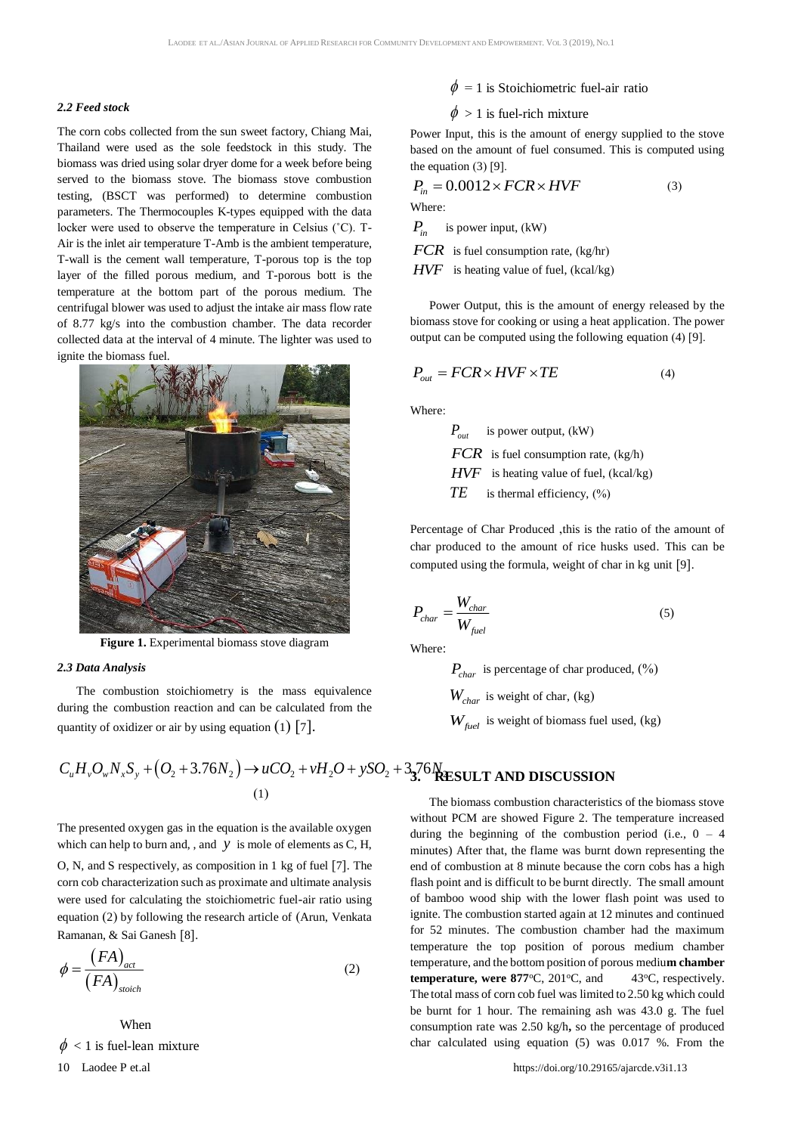#### *2.2 Feed stock*

The corn cobs collected from the sun sweet factory, Chiang Mai, Thailand were used as the sole feedstock in this study. The biomass was dried using solar dryer dome for a week before being served to the biomass stove. The biomass stove combustion testing, (BSCT was performed) to determine combustion parameters. The Thermocouples K-types equipped with the data locker were used to observe the temperature in Celsius (˚C). T-Air is the inlet air temperature T-Amb is the ambient temperature, T-wall is the cement wall temperature, T-porous top is the top layer of the filled porous medium, and T-porous bott is the temperature at the bottom part of the porous medium. The centrifugal blower was used to adjust the intake air mass flow rate of 8.77 kg/s into the combustion chamber. The data recorder collected data at the interval of 4 minute. The lighter was used to ignite the biomass fuel.



**Figure 1.** Experimental biomass stove diagram

#### *2.3 Data Analysis*

The combustion stoichiometry is the mass equivalence during the combustion reaction and can be calculated from the quantity of oxidizer or air by using equation  $(1)$  [7].

$$
C_u H_v O_w N_x S_y + (O_2 + 3.76 N_2) \rightarrow uCO_2 + vH_2O + ySO_2 + 33.76 N_{\text{RESULT AND DISCUSSIO}}^{3.76 N_{\text{RESULT AND DISCUSSIO}}}
$$

The presented oxygen gas in the equation is the available oxygen which can help to burn and, , and  $y$  is mole of elements as  $C$ ,  $H$ ,

O, N, and S respectively, as composition in 1 kg of fuel [7]. The corn cob characterization such as proximate and ultimate analysis were used for calculating the stoichiometric fuel-air ratio using equation (2) by following the research article of (Arun, Venkata Ramanan, & Sai Ganesh [8].

$$
\phi = \frac{(FA)_{act}}{(FA)_{\text{stoich}}}
$$
\n(2)

When

 $\phi$  < 1 is fuel-lean mixture

$$
\phi = 1
$$
 is Stoichiometric fuel-air ratio

# $\phi > 1$  is fuel-rich mixture

Power Input, this is the amount of energy supplied to the stove based on the amount of fuel consumed. This is computed using the equation (3) [9].

The equation (3) [9].  
\n
$$
P_{in} = 0.0012 \times FCR \times HVF
$$
\n(3)  
\nWhere:  
\n
$$
P_{in}
$$
 is power input, (kW)  
\nFCR is fuel consumption rate, (kg/hr)  
\nHVF is heating value of fuel, (kcal/kg)

Power Output, this is the amount of energy released by the biomass stove for cooking or using a heat application. The power output can be computed using the following equation (4) [9].

$$
P_{out} = FCR \times HVF \times TE \tag{4}
$$

Where:

$$
P_{out}
$$
 is power output, (kW)  
\nFCR is fuel consumption rate, (kg/h)  
\nHVF is heating value of fuel, (kcal/kg)  
\nTE is thermal efficiency, (%)

Percentage of Char Produced ,this is the ratio of the amount of char produced to the amount of rice husks used. This can be computed using the formula, weight of char in kg unit [9].

$$
P_{char} = \frac{W_{char}}{W_{fuel}}
$$
 (5)

Where:

$$
P_{char}
$$
 is percentage of char produced, (%)  

$$
W_{char}
$$
 is weight of char, (kg)

*<sup>W</sup>fuel* is weight of biomass fuel used, (kg)

# **3. RESULT AND DISCUSSION**

The biomass combustion characteristics of the biomass stove without PCM are showed Figure 2. The temperature increased during the beginning of the combustion period (i.e.,  $0 - 4$ ) minutes) After that, the flame was burnt down representing the end of combustion at 8 minute because the corn cobs has a high flash point and is difficult to be burnt directly. The small amount of bamboo wood ship with the lower flash point was used to ignite. The combustion started again at 12 minutes and continued for 52 minutes. The combustion chamber had the maximum temperature the top position of porous medium chamber temperature, and the bottom position of porous mediu**m chamber temperature, were 877 °C**, 201 °C, and 43 °C, respectively. The total mass of corn cob fuel was limited to 2.50 kg which could be burnt for 1 hour. The remaining ash was 43.0 g. The fuel consumption rate was 2.50 kg/h**,** so the percentage of produced char calculated using equation (5) was 0.017 %. From the